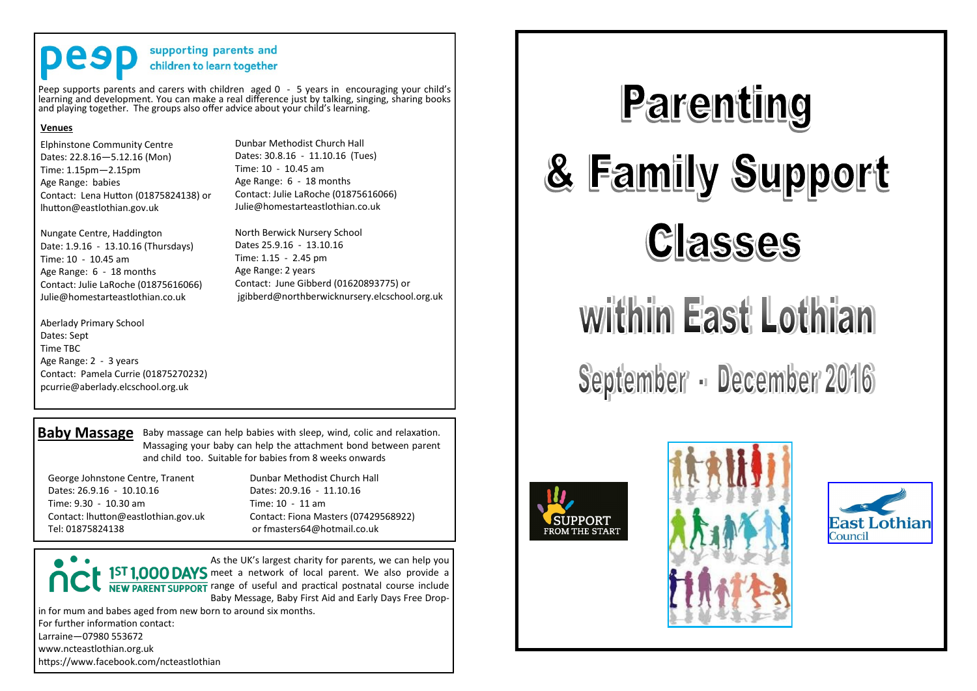# supporting parents and children to learn together

Peep supports parents and carers with children aged 0 - 5 years in encouraging your child's learning and development. You can make a real difference just by talking, singing, sharing books and playing together. The groups also offer advice about your child's learning.

### **Venues**

Elphinstone Community Centre Dates: 22.8.16—5.12.16 (Mon) Time: 1.15pm—2.15pm Age Range: babies Contact: Lena Hutton (01875824138) or lhutton@eastlothian.gov.uk

Nungate Centre, Haddington Date: 1.9.16 - 13.10.16 (Thursdays) Time: 10 - 10.45 am Age Range: 6 - 18 months Contact: Julie LaRoche (01875616066) Julie@homestarteastlothian.co.uk

Aberlady Primary School Dates: Sept Time TBC Age Range: 2 - 3 years Contact: Pamela Currie (01875270232) pcurrie@aberlady.elcschool.org.uk

Dunbar Methodist Church Hall Dates: 30.8.16 - 11.10.16 (Tues) Time: 10 - 10.45 am Age Range: 6 - 18 months Contact: Julie LaRoche (01875616066) Julie@homestarteastlothian.co.uk

North Berwick Nursery School Dates 25.9.16 - 13.10.16 Time: 1.15 - 2.45 pm Age Range: 2 years Contact: June Gibberd (01620893775) or jgibberd@northberwicknursery.elcschool.org.uk

**Baby Massage** Baby massage can help babies with sleep, wind, colic and relaxation. Massaging your baby can help the attachment bond between parent and child too. Suitable for babies from 8 weeks onwards

George Johnstone Centre, Tranent Dates: 26.9.16 - 10.10.16 Time: 9.30 - 10.30 am Contact: lhutton@eastlothian.gov.uk Tel: 01875824138

Dunbar Methodist Church Hall Dates: 20.9.16 - 11.10.16  $Time: 10 - 11$  am Contact: Fiona Masters (07429568922) or fmasters64@hotmail.co.uk

As the UK's largest charity for parents, we can help you 1ST 1,000 DAYS meet a network of local parent. We also provide a **NEW PARENT SUPPORT** range of useful and practical postnatal course include Baby Message, Baby First Aid and Early Days Free Dropin for mum and babes aged from new born to around six months. For further information contact:

Larraine—07980 553672 www.ncteastlothian.org.uk

https://www.facebook.com/ncteastlothian



# within East Lothian

September - December 2016